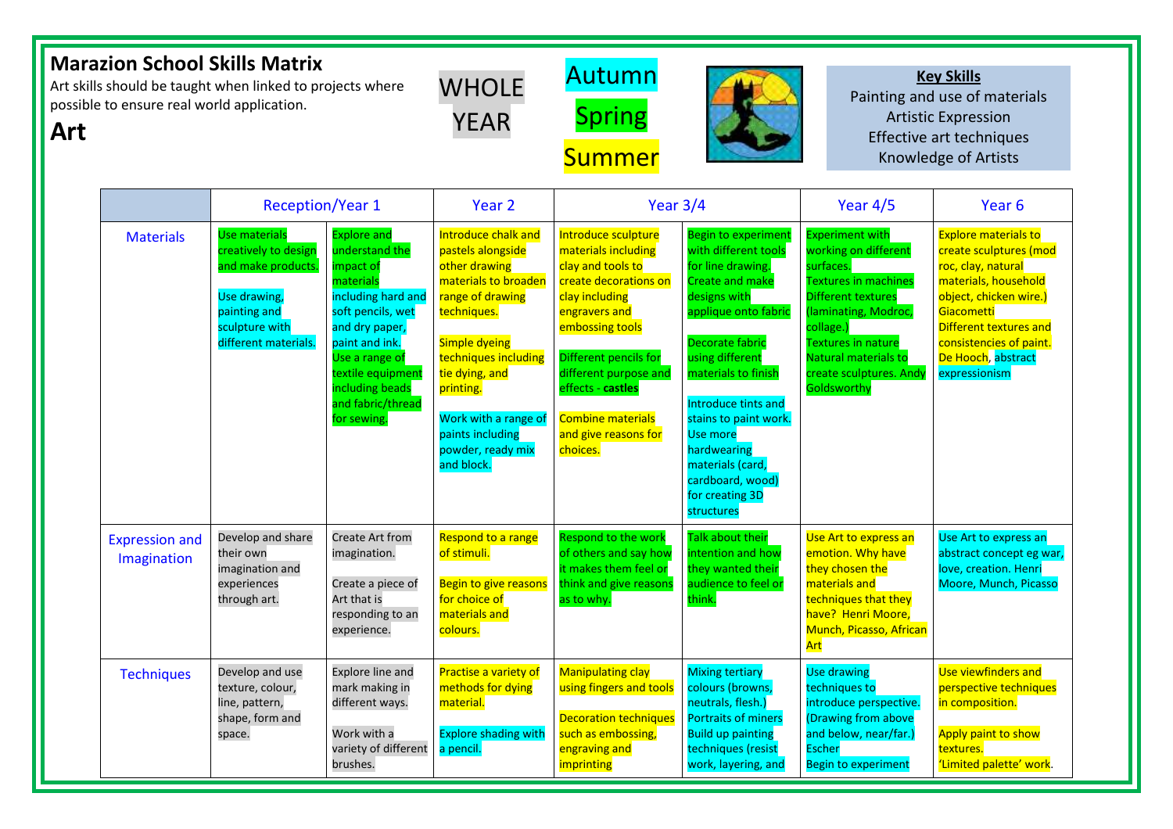| <b>Marazion School Skills Matrix</b><br>Art skills should be taught when linked to projects where<br>possible to ensure real world application.<br>Art |                                      |                                                                                                                                              |                                                                                                                                                                                                                                             | <b>WHOLE</b><br><b>YEAR</b>                                                                                                                                                                                                                                                 | Autumn<br><b>Spring</b><br><b>Summer</b>                                                                                                                                                                                                                                              |                                                                                                                                                                                                                                                                                                                                                           |                                                                                                                                                                                                                                                      | <b>Key Skills</b><br>Painting and use of materials<br><b>Artistic Expression</b><br>Effective art techniques<br><b>Knowledge of Artists</b>                                                                                             |  |
|--------------------------------------------------------------------------------------------------------------------------------------------------------|--------------------------------------|----------------------------------------------------------------------------------------------------------------------------------------------|---------------------------------------------------------------------------------------------------------------------------------------------------------------------------------------------------------------------------------------------|-----------------------------------------------------------------------------------------------------------------------------------------------------------------------------------------------------------------------------------------------------------------------------|---------------------------------------------------------------------------------------------------------------------------------------------------------------------------------------------------------------------------------------------------------------------------------------|-----------------------------------------------------------------------------------------------------------------------------------------------------------------------------------------------------------------------------------------------------------------------------------------------------------------------------------------------------------|------------------------------------------------------------------------------------------------------------------------------------------------------------------------------------------------------------------------------------------------------|-----------------------------------------------------------------------------------------------------------------------------------------------------------------------------------------------------------------------------------------|--|
|                                                                                                                                                        |                                      | <b>Reception/Year 1</b>                                                                                                                      |                                                                                                                                                                                                                                             | Year $3/4$<br>Year <sub>2</sub>                                                                                                                                                                                                                                             |                                                                                                                                                                                                                                                                                       | Year $4/5$                                                                                                                                                                                                                                                                                                                                                | Year <sub>6</sub>                                                                                                                                                                                                                                    |                                                                                                                                                                                                                                         |  |
|                                                                                                                                                        | <b>Materials</b>                     | <b>Use materials</b><br>creatively to design<br>and make products.<br>Use drawing,<br>painting and<br>sculpture with<br>different materials. | <b>Explore and</b><br>understand the<br>impact of<br>materials<br>including hard and<br>soft pencils, wet<br>and dry paper,<br>paint and ink.<br>Use a range of<br>textile equipment<br>including beads<br>and fabric/thread<br>for sewing. | Introduce chalk and<br>pastels alongside<br>other drawing<br>materials to broaden<br>range of drawing<br>techniques.<br>Simple dyeing<br>techniques including<br>tie dying, and<br>printing.<br>Work with a range of<br>paints including<br>powder, ready mix<br>and block. | Introduce sculpture<br>materials including<br>clay and tools to<br>create decorations on<br>clay including<br>engravers and<br>embossing tools<br>Different pencils for<br>different purpose and<br>effects - castles<br><b>Combine materials</b><br>and give reasons for<br>choices. | Begin to experimen<br>with different tools<br>for line drawing.<br><b>Create and make</b><br>designs with<br>applique onto fabrio<br><b>Decorate fabric</b><br>using different<br>materials to finish<br>Introduce tints and<br>stains to paint work.<br>Use more<br>hardwearing<br>materials (card,<br>cardboard, wood)<br>for creating 3D<br>structures | <b>Experiment with</b><br>working on different<br>surfaces.<br><b>Textures in machines</b><br>Different textures<br>(laminating, Modroc,<br>collage.)<br><b>Textures in nature</b><br>Natural materials to<br>create sculptures. Andy<br>Goldsworthy | <b>Explore materials to</b><br>create sculptures (mod<br>roc, clay, natural<br>materials, household<br>object, chicken wire.)<br>Giacometti<br>Different textures and<br>consistencies of paint.<br>De Hooch, abstract<br>expressionism |  |
|                                                                                                                                                        | <b>Expression and</b><br>Imagination | Develop and share<br>their own<br>imagination and<br>experiences<br>through art.                                                             | Create Art from<br>imagination.<br>Create a piece of<br>Art that is<br>responding to an<br>experience.                                                                                                                                      | Respond to a range<br>of stimuli.<br>Begin to give reasons<br>for choice of<br>materials and<br>colours.                                                                                                                                                                    | Respond to the work<br>of others and say how<br>it makes them feel or<br>think and give reasons<br>as to why.                                                                                                                                                                         | Talk about their<br>intention and how<br>they wanted their<br>audience to feel or<br>think.                                                                                                                                                                                                                                                               | Use Art to express an<br>emotion. Why have<br>they chosen the<br>materials and<br>techniques that they<br>have? Henri Moore,<br>Munch, Picasso, African<br>Art                                                                                       | Use Art to express an<br>abstract concept eg war,<br>love, creation. Henri<br>Moore, Munch, Picasso                                                                                                                                     |  |
|                                                                                                                                                        | <b>Techniques</b>                    | Develop and use<br>texture, colour,<br>line, pattern,<br>shape, form and<br>space.                                                           | <b>Explore line and</b><br>mark making in<br>different ways.<br>Work with a<br>variety of different<br>brushes.                                                                                                                             | Practise a variety of<br>methods for dying<br>material.<br><b>Explore shading with</b><br>a pencil.                                                                                                                                                                         | <b>Manipulating clay</b><br>using fingers and tools<br><b>Decoration techniques</b><br>such as embossing,<br>engraving and<br>imprinting                                                                                                                                              | <b>Mixing tertiary</b><br>colours (browns,<br>neutrals, flesh.)<br><b>Portraits of miners</b><br><b>Build up painting</b><br>techniques (resist<br>work, layering, and                                                                                                                                                                                    | <b>Use drawing</b><br>techniques to<br>introduce perspective.<br>(Drawing from above<br>and below, near/far.)<br><b>Escher</b><br><b>Begin to experiment</b>                                                                                         | Use viewfinders and<br>perspective techniques<br>in composition.<br>Apply paint to show<br>textures.<br>'Limited palette' work.                                                                                                         |  |